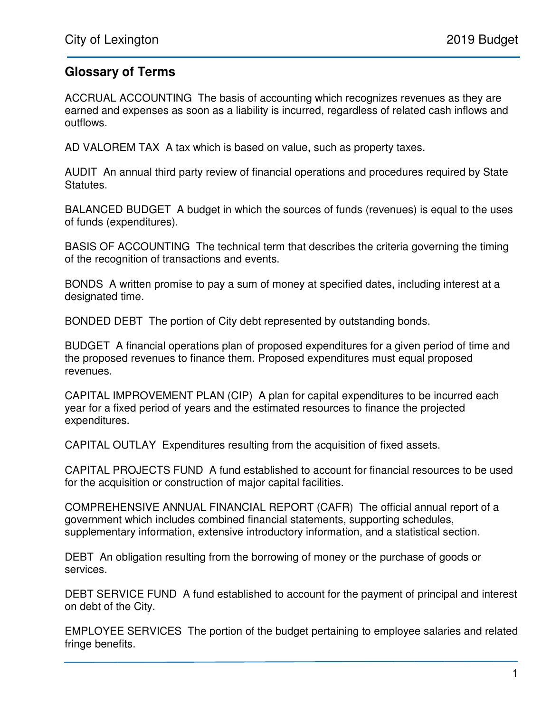## **Glossary of Terms**

ACCRUAL ACCOUNTING The basis of accounting which recognizes revenues as they are earned and expenses as soon as a liability is incurred, regardless of related cash inflows and outflows.

AD VALOREM TAX A tax which is based on value, such as property taxes.

AUDIT An annual third party review of financial operations and procedures required by State Statutes.

BALANCED BUDGET A budget in which the sources of funds (revenues) is equal to the uses of funds (expenditures).

BASIS OF ACCOUNTING The technical term that describes the criteria governing the timing of the recognition of transactions and events.

BONDS A written promise to pay a sum of money at specified dates, including interest at a designated time.

BONDED DEBT The portion of City debt represented by outstanding bonds.

BUDGET A financial operations plan of proposed expenditures for a given period of time and the proposed revenues to finance them. Proposed expenditures must equal proposed revenues.

CAPITAL IMPROVEMENT PLAN (CIP) A plan for capital expenditures to be incurred each year for a fixed period of years and the estimated resources to finance the projected expenditures.

CAPITAL OUTLAY Expenditures resulting from the acquisition of fixed assets.

CAPITAL PROJECTS FUND A fund established to account for financial resources to be used for the acquisition or construction of major capital facilities.

COMPREHENSIVE ANNUAL FINANCIAL REPORT (CAFR) The official annual report of a government which includes combined financial statements, supporting schedules, supplementary information, extensive introductory information, and a statistical section.

DEBT An obligation resulting from the borrowing of money or the purchase of goods or services.

DEBT SERVICE FUND A fund established to account for the payment of principal and interest on debt of the City.

EMPLOYEE SERVICES The portion of the budget pertaining to employee salaries and related fringe benefits.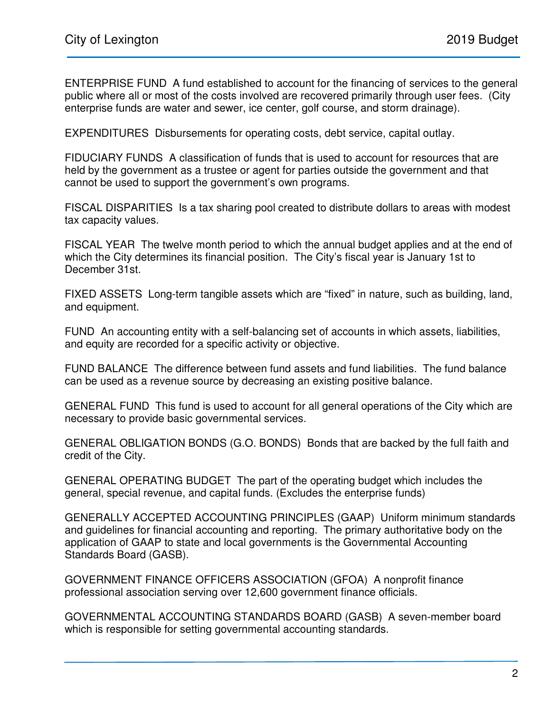ENTERPRISE FUND A fund established to account for the financing of services to the general public where all or most of the costs involved are recovered primarily through user fees. (City enterprise funds are water and sewer, ice center, golf course, and storm drainage).

EXPENDITURES Disbursements for operating costs, debt service, capital outlay.

FIDUCIARY FUNDS A classification of funds that is used to account for resources that are held by the government as a trustee or agent for parties outside the government and that cannot be used to support the government's own programs.

FISCAL DISPARITIES Is a tax sharing pool created to distribute dollars to areas with modest tax capacity values.

FISCAL YEAR The twelve month period to which the annual budget applies and at the end of which the City determines its financial position. The City's fiscal year is January 1st to December 31st.

FIXED ASSETS Long-term tangible assets which are "fixed" in nature, such as building, land, and equipment.

FUND An accounting entity with a self-balancing set of accounts in which assets, liabilities, and equity are recorded for a specific activity or objective.

FUND BALANCE The difference between fund assets and fund liabilities. The fund balance can be used as a revenue source by decreasing an existing positive balance.

GENERAL FUND This fund is used to account for all general operations of the City which are necessary to provide basic governmental services.

GENERAL OBLIGATION BONDS (G.O. BONDS) Bonds that are backed by the full faith and credit of the City.

GENERAL OPERATING BUDGET The part of the operating budget which includes the general, special revenue, and capital funds. (Excludes the enterprise funds)

GENERALLY ACCEPTED ACCOUNTING PRINCIPLES (GAAP) Uniform minimum standards and guidelines for financial accounting and reporting. The primary authoritative body on the application of GAAP to state and local governments is the Governmental Accounting Standards Board (GASB).

GOVERNMENT FINANCE OFFICERS ASSOCIATION (GFOA) A nonprofit finance professional association serving over 12,600 government finance officials.

GOVERNMENTAL ACCOUNTING STANDARDS BOARD (GASB) A seven-member board which is responsible for setting governmental accounting standards.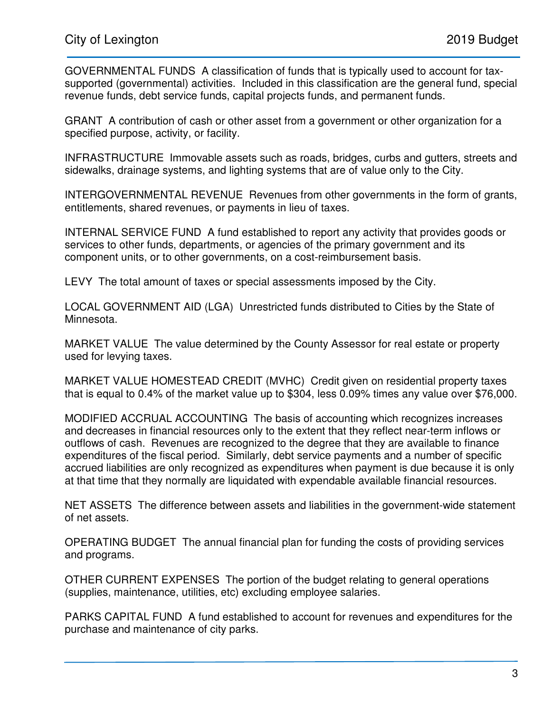GOVERNMENTAL FUNDS A classification of funds that is typically used to account for taxsupported (governmental) activities. Included in this classification are the general fund, special revenue funds, debt service funds, capital projects funds, and permanent funds.

GRANT A contribution of cash or other asset from a government or other organization for a specified purpose, activity, or facility.

INFRASTRUCTURE Immovable assets such as roads, bridges, curbs and gutters, streets and sidewalks, drainage systems, and lighting systems that are of value only to the City.

INTERGOVERNMENTAL REVENUE Revenues from other governments in the form of grants, entitlements, shared revenues, or payments in lieu of taxes.

INTERNAL SERVICE FUND A fund established to report any activity that provides goods or services to other funds, departments, or agencies of the primary government and its component units, or to other governments, on a cost-reimbursement basis.

LEVY The total amount of taxes or special assessments imposed by the City.

LOCAL GOVERNMENT AID (LGA) Unrestricted funds distributed to Cities by the State of Minnesota.

MARKET VALUE The value determined by the County Assessor for real estate or property used for levying taxes.

MARKET VALUE HOMESTEAD CREDIT (MVHC) Credit given on residential property taxes that is equal to 0.4% of the market value up to \$304, less 0.09% times any value over \$76,000.

MODIFIED ACCRUAL ACCOUNTING The basis of accounting which recognizes increases and decreases in financial resources only to the extent that they reflect near-term inflows or outflows of cash. Revenues are recognized to the degree that they are available to finance expenditures of the fiscal period. Similarly, debt service payments and a number of specific accrued liabilities are only recognized as expenditures when payment is due because it is only at that time that they normally are liquidated with expendable available financial resources.

NET ASSETS The difference between assets and liabilities in the government-wide statement of net assets.

OPERATING BUDGET The annual financial plan for funding the costs of providing services and programs.

OTHER CURRENT EXPENSES The portion of the budget relating to general operations (supplies, maintenance, utilities, etc) excluding employee salaries.

PARKS CAPITAL FUND A fund established to account for revenues and expenditures for the purchase and maintenance of city parks.